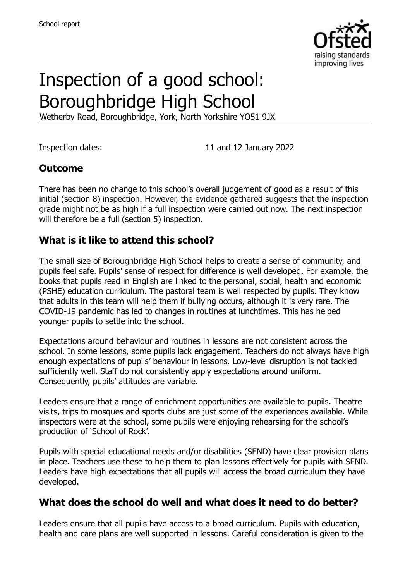

# Inspection of a good school: Boroughbridge High School

Wetherby Road, Boroughbridge, York, North Yorkshire YO51 9JX

Inspection dates: 11 and 12 January 2022

### **Outcome**

There has been no change to this school's overall judgement of good as a result of this initial (section 8) inspection. However, the evidence gathered suggests that the inspection grade might not be as high if a full inspection were carried out now. The next inspection will therefore be a full (section 5) inspection.

### **What is it like to attend this school?**

The small size of Boroughbridge High School helps to create a sense of community, and pupils feel safe. Pupils' sense of respect for difference is well developed. For example, the books that pupils read in English are linked to the personal, social, health and economic (PSHE) education curriculum. The pastoral team is well respected by pupils. They know that adults in this team will help them if bullying occurs, although it is very rare. The COVID-19 pandemic has led to changes in routines at lunchtimes. This has helped younger pupils to settle into the school.

Expectations around behaviour and routines in lessons are not consistent across the school. In some lessons, some pupils lack engagement. Teachers do not always have high enough expectations of pupils' behaviour in lessons. Low-level disruption is not tackled sufficiently well. Staff do not consistently apply expectations around uniform. Consequently, pupils' attitudes are variable.

Leaders ensure that a range of enrichment opportunities are available to pupils. Theatre visits, trips to mosques and sports clubs are just some of the experiences available. While inspectors were at the school, some pupils were enjoying rehearsing for the school's production of 'School of Rock'.

Pupils with special educational needs and/or disabilities (SEND) have clear provision plans in place. Teachers use these to help them to plan lessons effectively for pupils with SEND. Leaders have high expectations that all pupils will access the broad curriculum they have developed.

#### **What does the school do well and what does it need to do better?**

Leaders ensure that all pupils have access to a broad curriculum. Pupils with education, health and care plans are well supported in lessons. Careful consideration is given to the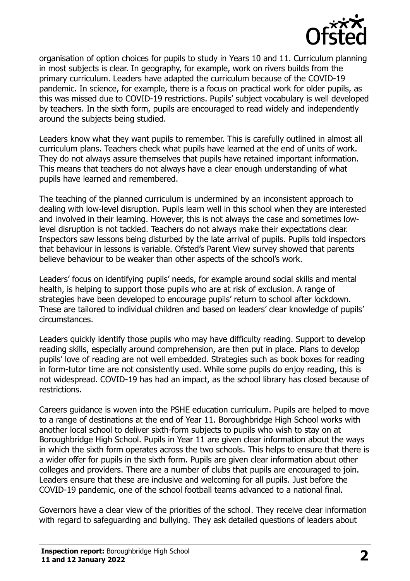

organisation of option choices for pupils to study in Years 10 and 11. Curriculum planning in most subjects is clear. In geography, for example, work on rivers builds from the primary curriculum. Leaders have adapted the curriculum because of the COVID-19 pandemic. In science, for example, there is a focus on practical work for older pupils, as this was missed due to COVID-19 restrictions. Pupils' subject vocabulary is well developed by teachers. In the sixth form, pupils are encouraged to read widely and independently around the subjects being studied.

Leaders know what they want pupils to remember. This is carefully outlined in almost all curriculum plans. Teachers check what pupils have learned at the end of units of work. They do not always assure themselves that pupils have retained important information. This means that teachers do not always have a clear enough understanding of what pupils have learned and remembered.

The teaching of the planned curriculum is undermined by an inconsistent approach to dealing with low-level disruption. Pupils learn well in this school when they are interested and involved in their learning. However, this is not always the case and sometimes lowlevel disruption is not tackled. Teachers do not always make their expectations clear. Inspectors saw lessons being disturbed by the late arrival of pupils. Pupils told inspectors that behaviour in lessons is variable. Ofsted's Parent View survey showed that parents believe behaviour to be weaker than other aspects of the school's work.

Leaders' focus on identifying pupils' needs, for example around social skills and mental health, is helping to support those pupils who are at risk of exclusion. A range of strategies have been developed to encourage pupils' return to school after lockdown. These are tailored to individual children and based on leaders' clear knowledge of pupils' circumstances.

Leaders quickly identify those pupils who may have difficulty reading. Support to develop reading skills, especially around comprehension, are then put in place. Plans to develop pupils' love of reading are not well embedded. Strategies such as book boxes for reading in form-tutor time are not consistently used. While some pupils do enjoy reading, this is not widespread. COVID-19 has had an impact, as the school library has closed because of restrictions.

Careers guidance is woven into the PSHE education curriculum. Pupils are helped to move to a range of destinations at the end of Year 11. Boroughbridge High School works with another local school to deliver sixth-form subjects to pupils who wish to stay on at Boroughbridge High School. Pupils in Year 11 are given clear information about the ways in which the sixth form operates across the two schools. This helps to ensure that there is a wider offer for pupils in the sixth form. Pupils are given clear information about other colleges and providers. There are a number of clubs that pupils are encouraged to join. Leaders ensure that these are inclusive and welcoming for all pupils. Just before the COVID-19 pandemic, one of the school football teams advanced to a national final.

Governors have a clear view of the priorities of the school. They receive clear information with regard to safeguarding and bullying. They ask detailed questions of leaders about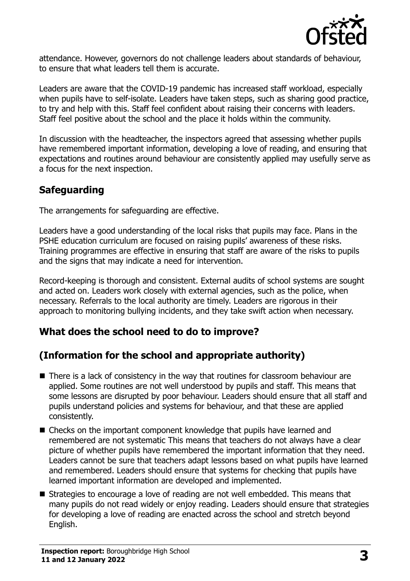

attendance. However, governors do not challenge leaders about standards of behaviour, to ensure that what leaders tell them is accurate.

Leaders are aware that the COVID-19 pandemic has increased staff workload, especially when pupils have to self-isolate. Leaders have taken steps, such as sharing good practice, to try and help with this. Staff feel confident about raising their concerns with leaders. Staff feel positive about the school and the place it holds within the community.

In discussion with the headteacher, the inspectors agreed that assessing whether pupils have remembered important information, developing a love of reading, and ensuring that expectations and routines around behaviour are consistently applied may usefully serve as a focus for the next inspection.

# **Safeguarding**

The arrangements for safeguarding are effective.

Leaders have a good understanding of the local risks that pupils may face. Plans in the PSHE education curriculum are focused on raising pupils' awareness of these risks. Training programmes are effective in ensuring that staff are aware of the risks to pupils and the signs that may indicate a need for intervention.

Record-keeping is thorough and consistent. External audits of school systems are sought and acted on. Leaders work closely with external agencies, such as the police, when necessary. Referrals to the local authority are timely. Leaders are rigorous in their approach to monitoring bullying incidents, and they take swift action when necessary.

#### **What does the school need to do to improve?**

# **(Information for the school and appropriate authority)**

- There is a lack of consistency in the way that routines for classroom behaviour are applied. Some routines are not well understood by pupils and staff. This means that some lessons are disrupted by poor behaviour. Leaders should ensure that all staff and pupils understand policies and systems for behaviour, and that these are applied consistently.
- Checks on the important component knowledge that pupils have learned and remembered are not systematic This means that teachers do not always have a clear picture of whether pupils have remembered the important information that they need. Leaders cannot be sure that teachers adapt lessons based on what pupils have learned and remembered. Leaders should ensure that systems for checking that pupils have learned important information are developed and implemented.
- Strategies to encourage a love of reading are not well embedded. This means that many pupils do not read widely or enjoy reading. Leaders should ensure that strategies for developing a love of reading are enacted across the school and stretch beyond English.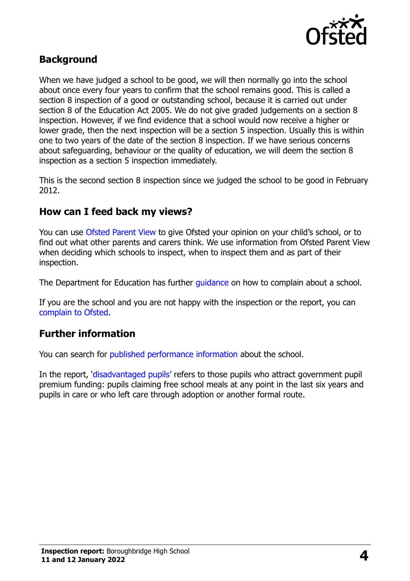

#### **Background**

When we have judged a school to be good, we will then normally go into the school about once every four years to confirm that the school remains good. This is called a section 8 inspection of a good or outstanding school, because it is carried out under section 8 of the Education Act 2005. We do not give graded judgements on a section 8 inspection. However, if we find evidence that a school would now receive a higher or lower grade, then the next inspection will be a section 5 inspection. Usually this is within one to two years of the date of the section 8 inspection. If we have serious concerns about safeguarding, behaviour or the quality of education, we will deem the section 8 inspection as a section 5 inspection immediately.

This is the second section 8 inspection since we judged the school to be good in February 2012.

#### **How can I feed back my views?**

You can use [Ofsted Parent View](https://parentview.ofsted.gov.uk/) to give Ofsted your opinion on your child's school, or to find out what other parents and carers think. We use information from Ofsted Parent View when deciding which schools to inspect, when to inspect them and as part of their inspection.

The Department for Education has further quidance on how to complain about a school.

If you are the school and you are not happy with the inspection or the report, you can [complain to Ofsted.](https://www.gov.uk/complain-ofsted-report)

#### **Further information**

You can search for [published performance information](http://www.compare-school-performance.service.gov.uk/) about the school.

In the report, '[disadvantaged pupils](http://www.gov.uk/guidance/pupil-premium-information-for-schools-and-alternative-provision-settings)' refers to those pupils who attract government pupil premium funding: pupils claiming free school meals at any point in the last six years and pupils in care or who left care through adoption or another formal route.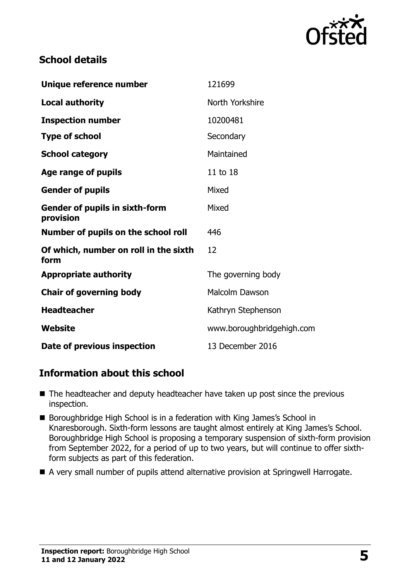

### **School details**

| Unique reference number                            | 121699                    |
|----------------------------------------------------|---------------------------|
| <b>Local authority</b>                             | North Yorkshire           |
| <b>Inspection number</b>                           | 10200481                  |
| <b>Type of school</b>                              | Secondary                 |
| <b>School category</b>                             | Maintained                |
| Age range of pupils                                | 11 to 18                  |
| <b>Gender of pupils</b>                            | Mixed                     |
| <b>Gender of pupils in sixth-form</b><br>provision | Mixed                     |
| Number of pupils on the school roll                | 446                       |
| Of which, number on roll in the sixth<br>form      | 12                        |
| <b>Appropriate authority</b>                       | The governing body        |
| <b>Chair of governing body</b>                     | Malcolm Dawson            |
| <b>Headteacher</b>                                 | Kathryn Stephenson        |
| Website                                            | www.boroughbridgehigh.com |
| Date of previous inspection                        | 13 December 2016          |

# **Information about this school**

- The headteacher and deputy headteacher have taken up post since the previous inspection.
- Boroughbridge High School is in a federation with King James's School in Knaresborough. Sixth-form lessons are taught almost entirely at King James's School. Boroughbridge High School is proposing a temporary suspension of sixth-form provision from September 2022, for a period of up to two years, but will continue to offer sixthform subjects as part of this federation.
- A very small number of pupils attend alternative provision at Springwell Harrogate.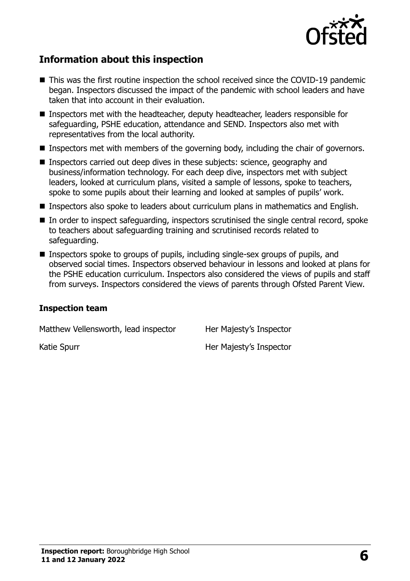

## **Information about this inspection**

- This was the first routine inspection the school received since the COVID-19 pandemic began. Inspectors discussed the impact of the pandemic with school leaders and have taken that into account in their evaluation.
- Inspectors met with the headteacher, deputy headteacher, leaders responsible for safeguarding, PSHE education, attendance and SEND. Inspectors also met with representatives from the local authority.
- **Inspectors met with members of the governing body, including the chair of governors.**
- Inspectors carried out deep dives in these subjects: science, geography and business/information technology. For each deep dive, inspectors met with subject leaders, looked at curriculum plans, visited a sample of lessons, spoke to teachers, spoke to some pupils about their learning and looked at samples of pupils' work.
- Inspectors also spoke to leaders about curriculum plans in mathematics and English.
- In order to inspect safeguarding, inspectors scrutinised the single central record, spoke to teachers about safeguarding training and scrutinised records related to safeguarding.
- **Inspectors spoke to groups of pupils, including single-sex groups of pupils, and** observed social times. Inspectors observed behaviour in lessons and looked at plans for the PSHE education curriculum. Inspectors also considered the views of pupils and staff from surveys. Inspectors considered the views of parents through Ofsted Parent View.

#### **Inspection team**

Matthew Vellensworth, lead inspector Her Majesty's Inspector

Katie Spurr **Her Majesty's Inspector**